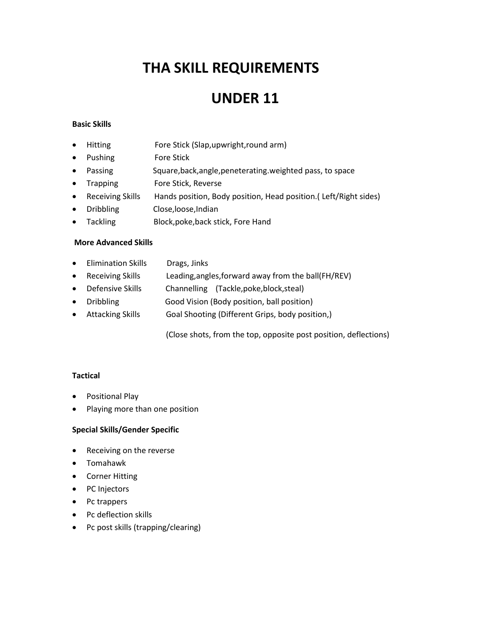# **THA SKILL REQUIREMENTS**

# **UNDER 11**

### **Basic Skills**

- Hitting Fore Stick (Slap,upwright,round arm)
- Pushing Fore Stick
- Passing Square,back,angle,peneterating.weighted pass, to space
- Trapping Fore Stick, Reverse
- Receiving Skills Hands position, Body position, Head position.( Left/Right sides)
- Dribbling Close,loose,Indian
- Tackling Block,poke,back stick, Fore Hand

#### **More Advanced Skills**

- Elimination Skills Drags, Jinks
- Receiving Skills Leading,angles,forward away from the ball(FH/REV)
- Defensive Skills Channelling (Tackle,poke,block,steal)
- Dribbling Good Vision (Body position, ball position)
- Attacking Skills Goal Shooting (Different Grips, body position,)

(Close shots, from the top, opposite post position, deflections)

# **Tactical**

- **•** Positional Play
- Playing more than one position

### **Special Skills/Gender Specific**

- Receiving on the reverse
- Tomahawk
- Corner Hitting
- PC Injectors
- Pc trappers
- Pc deflection skills
- Pc post skills (trapping/clearing)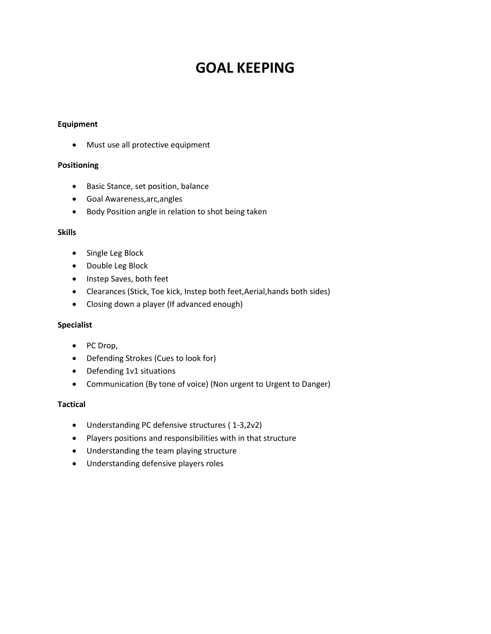# **GOAL KEEPING**

#### **Equipment**

Must use all protective equipment

#### **Positioning**

- Basic Stance, set position, balance
- Goal Awareness,arc,angles
- Body Position angle in relation to shot being taken

#### **Skills**

- Single Leg Block
- Double Leg Block
- Instep Saves, both feet
- Clearances (Stick, Toe kick, Instep both feet,Aerial,hands both sides)
- Closing down a player (If advanced enough)

#### **Specialist**

- PC Drop,
- Defending Strokes (Cues to look for)
- Defending 1v1 situations
- Communication (By tone of voice) (Non urgent to Urgent to Danger)

### **Tactical**

- Understanding PC defensive structures ( 1-3,2v2)
- Players positions and responsibilities with in that structure
- Understanding the team playing structure
- Understanding defensive players roles